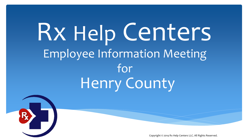Rx Help Centers Employee Information Meeting for Henry County

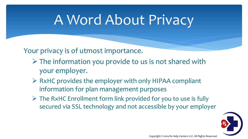### A Word About Privacy

Your privacy is of utmost importance.

- $\triangleright$  The information you provide to us is not shared with your employer.
- $\triangleright$  RxHC provides the employer with only HIPAA compliant information for plan management purposes
- $\triangleright$  The RxHC Enrollment form link provided for you to use is fully secured via SSL technology and not accessible by your employer

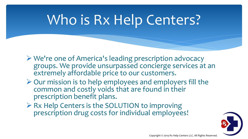## Who is Rx Help Centers?

- We're one of America's leading prescription advocacy groups. We provide unsurpassed concierge services at an extremely affordable price to our customers.
- $\triangleright$  Our mission is to help employees and employers fill the common and costly voids that are found in their prescription benefit plans.
- $\triangleright$  Rx Help Centers is the SOLUTION to improving prescription drug costs for individual employees!

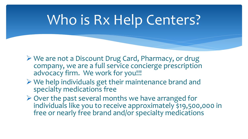### Who is Rx Help Centers?

- We are not a Discount Drug Card, Pharmacy, or drug company, we are a full service concierge prescription advocacy firm. We work for you!!!
- $\triangleright$  We help individuals get their maintenance brand and specialty medications free
- $\triangleright$  Over the past several months we have arranged for individuals like you to receive approximately \$19,500,000 in free or nearly free brand and/or specialty medications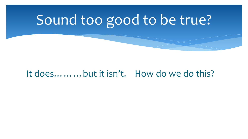## Sound too good to be true?

#### It does………but it isn't. How do we do this?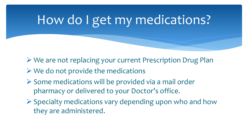#### How do I get my medications?

- We are not replacing your current Prescription Drug Plan
- $\triangleright$  We do not provide the medications
- $\triangleright$  Some medications will be provided via a mail order pharmacy or delivered to your Doctor's office.
- $\triangleright$  Specialty medications vary depending upon who and how they are administered.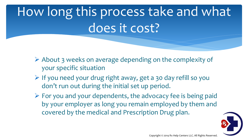## How long this process take and what does it cost?

- $\triangleright$  About 3 weeks on average depending on the complexity of your specific situation
- $\triangleright$  If you need your drug right away, get a 30 day refill so you don't run out during the initial set up period.
- $\triangleright$  For you and your dependents, the advocacy fee is being paid by your employer as long you remain employed by them and covered by the medical and Prescription Drug plan.

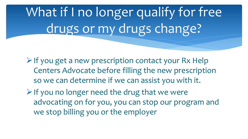What if I no longer qualify for free drugs or my drugs change?

- $\triangleright$  If you get a new prescription contact your Rx Help Centers Advocate before filling the new prescription so we can determine if we can assist you with it.
- $\triangleright$  If you no longer need the drug that we were advocating on for you, you can stop our program and we stop billing you or the employer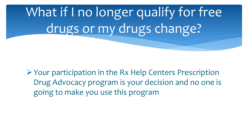What if I no longer qualify for free drugs or my drugs change?

Your participation in the Rx Help Centers Prescription Drug Advocacy program is your decision and no one is going to make you use this program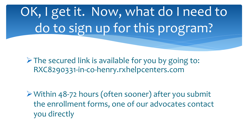OK, I get it. Now, what do I need to do to sign up for this program?

 $\triangleright$  The secured link is available for you by going to: RXC8290331-in-co-henry.rxhelpcenters.com

Within 48-72 hours (often sooner) after you submit the enrollment forms, one of our advocates contact you directly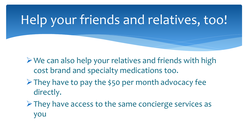#### Help your friends and relatives, too!

 $\triangleright$  We can also help your relatives and friends with high cost brand and specialty medications too.

 $\triangleright$  They have to pay the \$50 per month advocacy fee directly.

 $\triangleright$  They have access to the same concierge services as you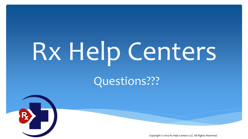# Rx Help Centers

Questions???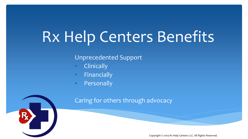# Rx Help Centers Benefits

#### Unprecedented Support

- **Clinically**
- **Financially**
- Personally



#### Caring for others through advocacy